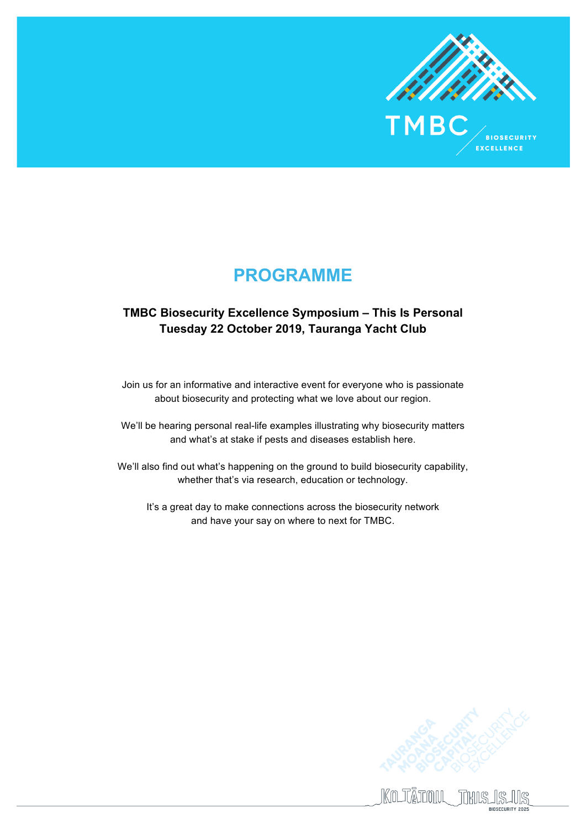

**BIOSECURITY EXCELLENCE** 

**PROGRAMME**

## **TMBC Biosecurity Excellence Symposium – This Is Personal Tuesday 22 October 2019, Tauranga Yacht Club**

Join us for an informative and interactive event for everyone who is passionate about biosecurity and protecting what we love about our region.

We'll be hearing personal real-life examples illustrating why biosecurity matters and what's at stake if pests and diseases establish here.

We'll also find out what's happening on the ground to build biosecurity capability, whether that's via research, education or technology.

It's a great day to make connections across the biosecurity network and have your say on where to next for TMBC.

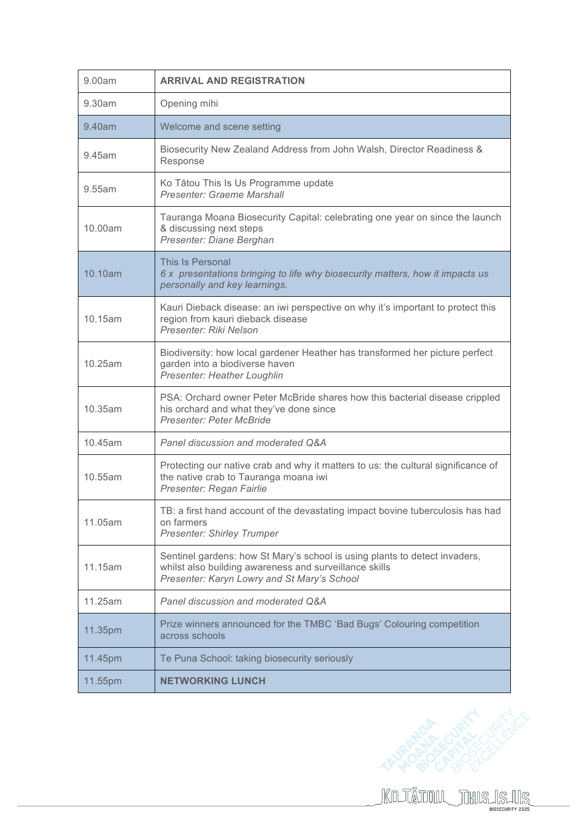| 9.00am  | <b>ARRIVAL AND REGISTRATION</b>                                                                                                                                                     |
|---------|-------------------------------------------------------------------------------------------------------------------------------------------------------------------------------------|
| 9.30am  | Opening mihi                                                                                                                                                                        |
| 9.40am  | Welcome and scene setting                                                                                                                                                           |
| 9.45am  | Biosecurity New Zealand Address from John Walsh, Director Readiness &<br>Response                                                                                                   |
| 9.55am  | Ko Tātou This Is Us Programme update<br>Presenter: Graeme Marshall                                                                                                                  |
| 10.00am | Tauranga Moana Biosecurity Capital: celebrating one year on since the launch<br>& discussing next steps<br>Presenter: Diane Berghan                                                 |
| 10.10am | This Is Personal<br>6 x presentations bringing to life why biosecurity matters, how it impacts us<br>personally and key learnings.                                                  |
| 10.15am | Kauri Dieback disease: an iwi perspective on why it's important to protect this<br>region from kauri dieback disease<br>Presenter: Riki Nelson                                      |
| 10.25am | Biodiversity: how local gardener Heather has transformed her picture perfect<br>garden into a biodiverse haven<br>Presenter: Heather Loughlin                                       |
| 10.35am | PSA: Orchard owner Peter McBride shares how this bacterial disease crippled<br>his orchard and what they've done since<br><b>Presenter: Peter McBride</b>                           |
| 10.45am | Panel discussion and moderated Q&A                                                                                                                                                  |
| 10.55am | Protecting our native crab and why it matters to us: the cultural significance of<br>the native crab to Tauranga moana iwi<br>Presenter: Regan Fairlie                              |
| 11.05am | TB: a first hand account of the devastating impact bovine tuberculosis has had<br>on farmers<br><b>Presenter: Shirley Trumper</b>                                                   |
| 11.15am | Sentinel gardens: how St Mary's school is using plants to detect invaders,<br>whilst also building awareness and surveillance skills<br>Presenter: Karyn Lowry and St Mary's School |
| 11.25am | Panel discussion and moderated Q&A                                                                                                                                                  |
| 11.35pm | Prize winners announced for the TMBC 'Bad Bugs' Colouring competition<br>across schools                                                                                             |
| 11.45pm | Te Puna School: taking biosecurity seriously                                                                                                                                        |
| 11.55pm | <b>NETWORKING LUNCH</b>                                                                                                                                                             |